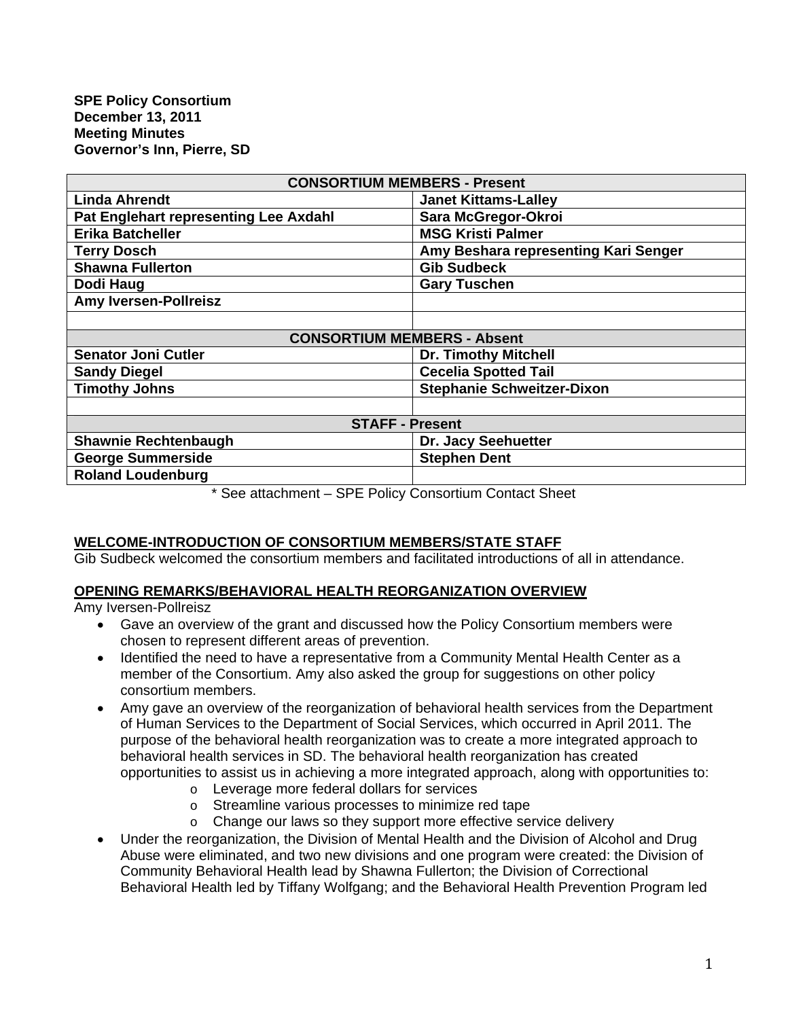| <b>CONSORTIUM MEMBERS - Present</b>   |                                      |
|---------------------------------------|--------------------------------------|
| <b>Linda Ahrendt</b>                  | <b>Janet Kittams-Lalley</b>          |
| Pat Englehart representing Lee Axdahl | Sara McGregor-Okroi                  |
| <b>Erika Batcheller</b>               | <b>MSG Kristi Palmer</b>             |
| <b>Terry Dosch</b>                    | Amy Beshara representing Kari Senger |
| <b>Shawna Fullerton</b>               | <b>Gib Sudbeck</b>                   |
| Dodi Haug                             | <b>Gary Tuschen</b>                  |
| <b>Amy Iversen-Pollreisz</b>          |                                      |
|                                       |                                      |
| <b>CONSORTIUM MEMBERS - Absent</b>    |                                      |
| <b>Senator Joni Cutler</b>            | <b>Dr. Timothy Mitchell</b>          |
| <b>Sandy Diegel</b>                   | <b>Cecelia Spotted Tail</b>          |
| <b>Timothy Johns</b>                  | <b>Stephanie Schweitzer-Dixon</b>    |
|                                       |                                      |
| <b>STAFF - Present</b>                |                                      |
| <b>Shawnie Rechtenbaugh</b>           | Dr. Jacy Seehuetter                  |
| <b>George Summerside</b>              | <b>Stephen Dent</b>                  |
| <b>Roland Loudenburg</b>              |                                      |
|                                       |                                      |

\* See attachment – SPE Policy Consortium Contact Sheet

#### **WELCOME-INTRODUCTION OF CONSORTIUM MEMBERS/STATE STAFF**

Gib Sudbeck welcomed the consortium members and facilitated introductions of all in attendance.

## **OPENING REMARKS/BEHAVIORAL HEALTH REORGANIZATION OVERVIEW**

Amy Iversen-Pollreisz

- Gave an overview of the grant and discussed how the Policy Consortium members were chosen to represent different areas of prevention.
- Identified the need to have a representative from a Community Mental Health Center as a member of the Consortium. Amy also asked the group for suggestions on other policy consortium members.
- Amy gave an overview of the reorganization of behavioral health services from the Department of Human Services to the Department of Social Services, which occurred in April 2011. The purpose of the behavioral health reorganization was to create a more integrated approach to behavioral health services in SD. The behavioral health reorganization has created opportunities to assist us in achieving a more integrated approach, along with opportunities to:
	- o Leverage more federal dollars for services
	- o Streamline various processes to minimize red tape
	- o Change our laws so they support more effective service delivery
- Under the reorganization, the Division of Mental Health and the Division of Alcohol and Drug Abuse were eliminated, and two new divisions and one program were created: the Division of Community Behavioral Health lead by Shawna Fullerton; the Division of Correctional Behavioral Health led by Tiffany Wolfgang; and the Behavioral Health Prevention Program led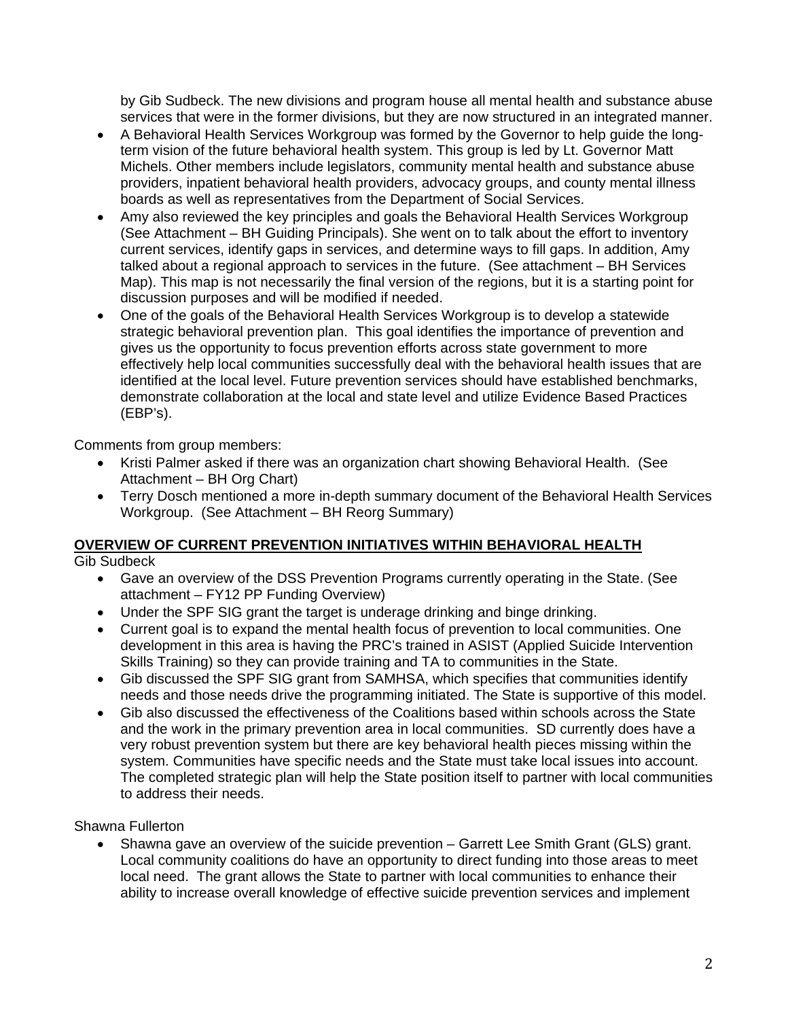by Gib Sudbeck. The new divisions and program house all mental health and substance abuse services that were in the former divisions, but they are now structured in an integrated manner.

- A Behavioral Health Services Workgroup was formed by the Governor to help guide the longterm vision of the future behavioral health system. This group is led by Lt. Governor Matt Michels. Other members include legislators, community mental health and substance abuse providers, inpatient behavioral health providers, advocacy groups, and county mental illness boards as well as representatives from the Department of Social Services.
- Amy also reviewed the key principles and goals the Behavioral Health Services Workgroup (See Attachment – BH Guiding Principals). She went on to talk about the effort to inventory current services, identify gaps in services, and determine ways to fill gaps. In addition, Amy talked about a regional approach to services in the future. (See attachment – BH Services Map). This map is not necessarily the final version of the regions, but it is a starting point for discussion purposes and will be modified if needed.
- One of the goals of the Behavioral Health Services Workgroup is to develop a statewide strategic behavioral prevention plan. This goal identifies the importance of prevention and gives us the opportunity to focus prevention efforts across state government to more effectively help local communities successfully deal with the behavioral health issues that are identified at the local level. Future prevention services should have established benchmarks, demonstrate collaboration at the local and state level and utilize Evidence Based Practices (EBP's).

Comments from group members:

- Kristi Palmer asked if there was an organization chart showing Behavioral Health. (See Attachment – BH Org Chart)
- Terry Dosch mentioned a more in-depth summary document of the Behavioral Health Services Workgroup. (See Attachment – BH Reorg Summary)

# **OVERVIEW OF CURRENT PREVENTION INITIATIVES WITHIN BEHAVIORAL HEALTH**

Gib Sudbeck

- Gave an overview of the DSS Prevention Programs currently operating in the State. (See attachment – FY12 PP Funding Overview)
- Under the SPF SIG grant the target is underage drinking and binge drinking.
- Current goal is to expand the mental health focus of prevention to local communities. One development in this area is having the PRC's trained in ASIST (Applied Suicide Intervention Skills Training) so they can provide training and TA to communities in the State.
- Gib discussed the SPF SIG grant from SAMHSA, which specifies that communities identify needs and those needs drive the programming initiated. The State is supportive of this model.
- Gib also discussed the effectiveness of the Coalitions based within schools across the State and the work in the primary prevention area in local communities. SD currently does have a very robust prevention system but there are key behavioral health pieces missing within the system. Communities have specific needs and the State must take local issues into account. The completed strategic plan will help the State position itself to partner with local communities to address their needs.

Shawna Fullerton

• Shawna gave an overview of the suicide prevention – Garrett Lee Smith Grant (GLS) grant. Local community coalitions do have an opportunity to direct funding into those areas to meet local need. The grant allows the State to partner with local communities to enhance their ability to increase overall knowledge of effective suicide prevention services and implement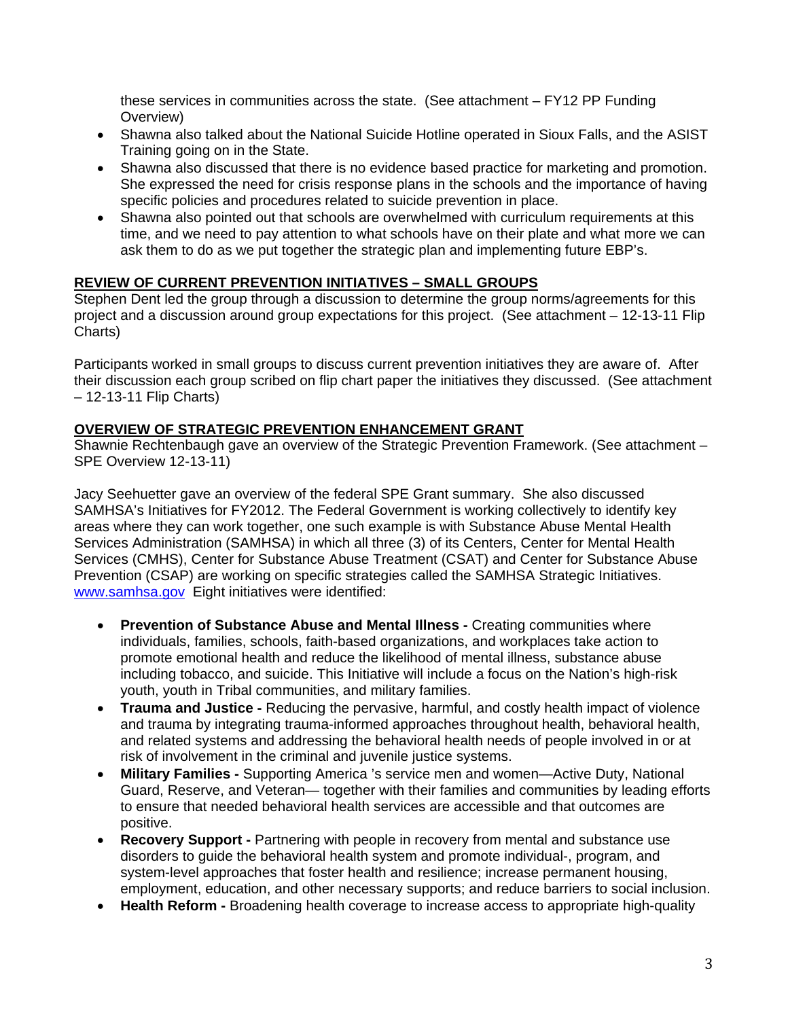these services in communities across the state. (See attachment – FY12 PP Funding Overview)

- Shawna also talked about the National Suicide Hotline operated in Sioux Falls, and the ASIST Training going on in the State.
- Shawna also discussed that there is no evidence based practice for marketing and promotion. She expressed the need for crisis response plans in the schools and the importance of having specific policies and procedures related to suicide prevention in place.
- Shawna also pointed out that schools are overwhelmed with curriculum requirements at this time, and we need to pay attention to what schools have on their plate and what more we can ask them to do as we put together the strategic plan and implementing future EBP's.

# **REVIEW OF CURRENT PREVENTION INITIATIVES – SMALL GROUPS**

Stephen Dent led the group through a discussion to determine the group norms/agreements for this project and a discussion around group expectations for this project. (See attachment – 12-13-11 Flip Charts)

Participants worked in small groups to discuss current prevention initiatives they are aware of. After their discussion each group scribed on flip chart paper the initiatives they discussed. (See attachment – 12-13-11 Flip Charts)

## **OVERVIEW OF STRATEGIC PREVENTION ENHANCEMENT GRANT**

Shawnie Rechtenbaugh gave an overview of the Strategic Prevention Framework. (See attachment – SPE Overview 12-13-11)

Jacy Seehuetter gave an overview of the federal SPE Grant summary. She also discussed SAMHSA's Initiatives for FY2012. The Federal Government is working collectively to identify key areas where they can work together, one such example is with Substance Abuse Mental Health Services Administration (SAMHSA) in which all three (3) of its Centers, Center for Mental Health Services (CMHS), Center for Substance Abuse Treatment (CSAT) and Center for Substance Abuse Prevention (CSAP) are working on specific strategies called the SAMHSA Strategic Initiatives. [www.samhsa.gov](http://www.samhsa.gov/) Eight initiatives were identified:

- **Prevention of Substance Abuse and Mental Illness** Creating communities where individuals, families, schools, faith-based organizations, and workplaces take action to promote emotional health and reduce the likelihood of mental illness, substance abuse including tobacco, and suicide. This Initiative will include a focus on the Nation's high-risk youth, youth in Tribal communities, and military families.
- **Trauma and Justice** Reducing the pervasive, harmful, and costly health impact of violence and trauma by integrating trauma-informed approaches throughout health, behavioral health, and related systems and addressing the behavioral health needs of people involved in or at risk of involvement in the criminal and juvenile justice systems.
- **Military Families** Supporting America 's service men and women—Active Duty, National Guard, Reserve, and Veteran— together with their families and communities by leading efforts to ensure that needed behavioral health services are accessible and that outcomes are positive.
- **Recovery Support** Partnering with people in recovery from mental and substance use disorders to guide the behavioral health system and promote individual-, program, and system-level approaches that foster health and resilience; increase permanent housing, employment, education, and other necessary supports; and reduce barriers to social inclusion.
- **Health Reform -** Broadening health coverage to increase access to appropriate high-quality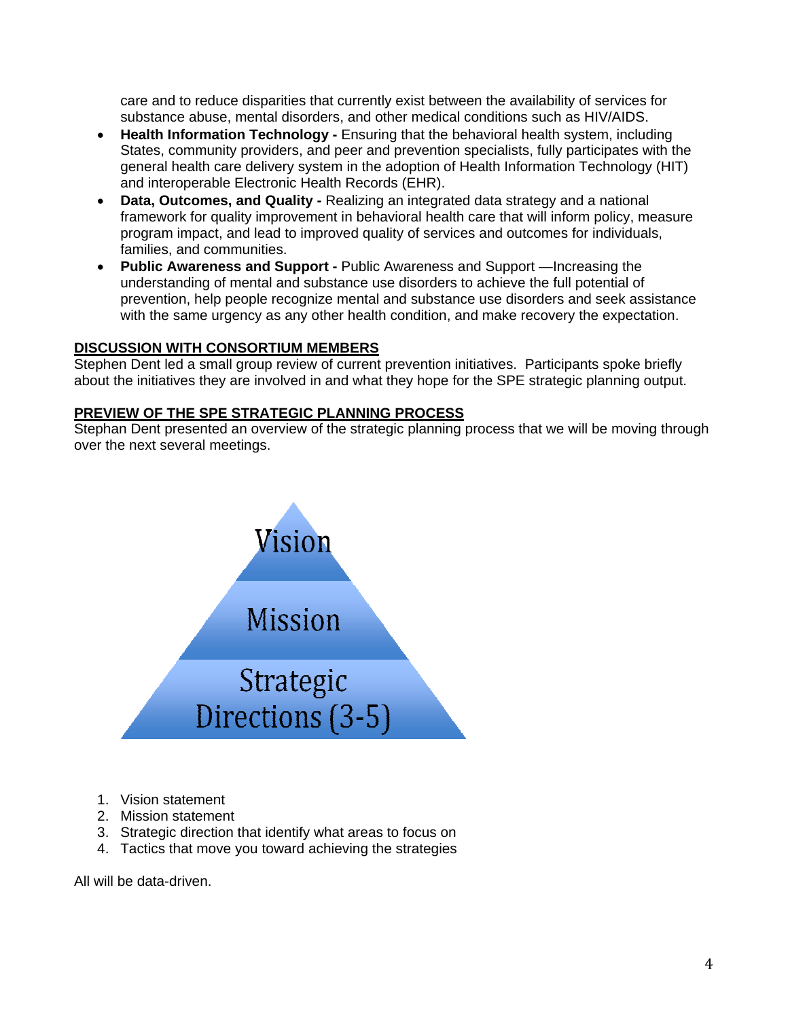care and to reduce disparities that currently exist between the availability of services for substance abuse, mental disorders, and other medical conditions such as HIV/AIDS.

- **Health Information Technology -** Ensuring that the behavioral health system, including States, community providers, and peer and prevention specialists, fully participates with the general health care delivery system in the adoption of Health Information Technology (HIT) and interoperable Electronic Health Records (EHR).
- **Data, Outcomes, and Quality** Realizing an integrated data strategy and a national framework for quality improvement in behavioral health care that will inform policy, measure program impact, and lead to improved quality of services and outcomes for individuals, families, and communities.
- **Public Awareness and Support** Public Awareness and Support —Increasing the understanding of mental and substance use disorders to achieve the full potential of prevention, help people recognize mental and substance use disorders and seek assistance with the same urgency as any other health condition, and make recovery the expectation.

## **DISCUSSION WITH CONSORTIUM MEMBERS**

Stephen Dent led a small group review of current prevention initiatives. Participants spoke briefly about the initiatives they are involved in and what they hope for the SPE strategic planning output.

### **PREVIEW OF THE SPE STRATEGIC PLANNING PROCESS**

Stephan Dent presented an overview of the strategic planning process that we will be moving through over the next several meetings.



- 1. Vision statement
- 2. Mission statement
- 3. Strategic direction that identify what areas to focus on
- 4. Tactics that move you toward achieving the strategies

All will be data-driven.